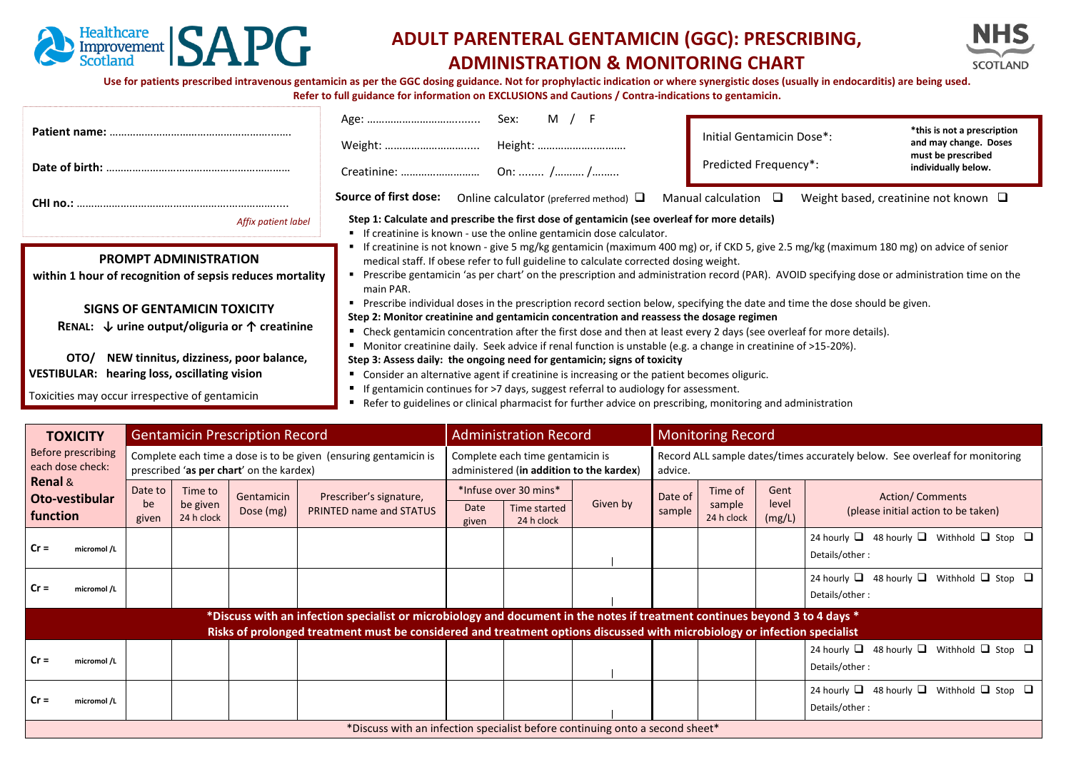

concentration in the concentration of the concentration of the concentration of the concentration of the conce<br>The concentration of the concentration of the concentration of the concentration of the concentration of the c

# **ADULT PARENTERAL GENTAMICIN (GGC): PRESCRIBING, ADMINISTRATION & MONITORING CHART**



Use for patients prescribed intravenous gentamicin as per the GGC dosing guidance. Not for prophylactic indication or where synergistic doses (usually in endocarditis) are being used. **Refer to full guidance for information on EXCLUSIONS and Cautions / Contra-indications to gentamicin.**

|                                                                    | Sex:<br>M / F                                                                                                                                                                                                                                                                           | Initial Gentamicin Dose*: | *this is not a prescription<br>and may change. Doses |  |  |  |  |  |  |
|--------------------------------------------------------------------|-----------------------------------------------------------------------------------------------------------------------------------------------------------------------------------------------------------------------------------------------------------------------------------------|---------------------------|------------------------------------------------------|--|--|--|--|--|--|
|                                                                    |                                                                                                                                                                                                                                                                                         | Predicted Frequency*:     | must be prescribed<br>individually below.            |  |  |  |  |  |  |
|                                                                    | Source of first dose:<br>Online calculator (preferred method) $\Box$                                                                                                                                                                                                                    | Manual calculation $\Box$ | Weight based, creatinine not known $\square$         |  |  |  |  |  |  |
| Affix patient label                                                | Step 1: Calculate and prescribe the first dose of gentamicin (see overleaf for more details)<br>" If creatinine is known - use the online gentamicin dose calculator.                                                                                                                   |                           |                                                      |  |  |  |  |  |  |
| <b>PROMPT ADMINISTRATION</b>                                       | If creatinine is not known - give 5 mg/kg gentamicin (maximum 400 mg) or, if CKD 5, give 2.5 mg/kg (maximum 180 mg) on advice of senior<br>medical staff. If obese refer to full guideline to calculate corrected dosing weight.                                                        |                           |                                                      |  |  |  |  |  |  |
| within 1 hour of recognition of sepsis reduces mortality           | Prescribe gentamicin 'as per chart' on the prescription and administration record (PAR). AVOID specifying dose or administration time on the<br>main PAR.                                                                                                                               |                           |                                                      |  |  |  |  |  |  |
| <b>SIGNS OF GENTAMICIN TOXICITY</b>                                | ■ Prescribe individual doses in the prescription record section below, specifying the date and time the dose should be given.<br>Step 2: Monitor creatinine and gentamicin concentration and reassess the dosage regimen                                                                |                           |                                                      |  |  |  |  |  |  |
| RENAL: $\downarrow$ urine output/oliguria or $\uparrow$ creatinine | Check gentamicin concentration after the first dose and then at least every 2 days (see overleaf for more details).                                                                                                                                                                     |                           |                                                      |  |  |  |  |  |  |
| NEW tinnitus, dizziness, poor balance,<br>OTO/                     | Monitor creatinine daily. Seek advice if renal function is unstable (e.g. a change in creatinine of >15-20%).<br>Step 3: Assess daily: the ongoing need for gentamicin; signs of toxicity<br>Consider an alternative agent if creatinine is increasing or the patient becomes oliguric. |                           |                                                      |  |  |  |  |  |  |
| <b>VESTIBULAR:</b> hearing loss, oscillating vision                |                                                                                                                                                                                                                                                                                         |                           |                                                      |  |  |  |  |  |  |
| Toxicities may occur irrespective of gentamicin                    | If gentamicin continues for >7 days, suggest referral to audiology for assessment.<br>Defecto quidolines exclinical pharmasist for further advise on prescribing menitoring and administration                                                                                          |                           |                                                      |  |  |  |  |  |  |

clinical pharmacist for further advice on prescribing, monitoring and administration

| <b>TOXICITY</b>                                                                                                                                                                                                                                          | <b>Gentamicin Prescription Record</b>                                                                        |           |                                | <b>Administration Record</b> |                                                                              | <b>Monitoring Record</b>                                  |                                                                                        |                   |                                 |                         |                                                                                 |
|----------------------------------------------------------------------------------------------------------------------------------------------------------------------------------------------------------------------------------------------------------|--------------------------------------------------------------------------------------------------------------|-----------|--------------------------------|------------------------------|------------------------------------------------------------------------------|-----------------------------------------------------------|----------------------------------------------------------------------------------------|-------------------|---------------------------------|-------------------------|---------------------------------------------------------------------------------|
| Before prescribing<br>each dose check:<br><b>Renal &amp;</b><br>Oto-vestibular<br>function                                                                                                                                                               | Complete each time a dose is to be given (ensuring gentamicin is<br>prescribed 'as per chart' on the kardex) |           |                                |                              | Complete each time gentamicin is<br>administered (in addition to the kardex) |                                                           | Record ALL sample dates/times accurately below. See overleaf for monitoring<br>advice. |                   |                                 |                         |                                                                                 |
|                                                                                                                                                                                                                                                          | Date to<br>Time to<br>be given<br>be<br>24 h clock<br>given                                                  |           | Gentamicin                     | Prescriber's signature,      |                                                                              | *Infuse over 30 mins*<br>Given by<br>Time started<br>Date |                                                                                        | Date of<br>sample | Time of<br>sample<br>24 h clock | Gent<br>level<br>(mg/L) | <b>Action/Comments</b><br>(please initial action to be taken)                   |
|                                                                                                                                                                                                                                                          |                                                                                                              | Dose (mg) | <b>PRINTED name and STATUS</b> | given                        | 24 h clock                                                                   |                                                           |                                                                                        |                   |                                 |                         |                                                                                 |
| $Cr =$<br>micromol /L                                                                                                                                                                                                                                    |                                                                                                              |           |                                |                              |                                                                              |                                                           |                                                                                        |                   |                                 |                         | 24 hourly $\Box$ 48 hourly $\Box$ Withhold $\Box$ Stop $\Box$<br>Details/other: |
| $Cr =$<br>micromol /L                                                                                                                                                                                                                                    |                                                                                                              |           |                                |                              |                                                                              |                                                           |                                                                                        |                   |                                 |                         | 24 hourly $\Box$ 48 hourly $\Box$ Withhold $\Box$ Stop $\Box$<br>Details/other: |
| *Discuss with an infection specialist or microbiology and document in the notes if treatment continues beyond 3 to 4 days *<br>Risks of prolonged treatment must be considered and treatment options discussed with microbiology or infection specialist |                                                                                                              |           |                                |                              |                                                                              |                                                           |                                                                                        |                   |                                 |                         |                                                                                 |
| $Cr =$<br>micromol /L                                                                                                                                                                                                                                    |                                                                                                              |           |                                |                              |                                                                              |                                                           |                                                                                        |                   |                                 |                         | 24 hourly $\Box$ 48 hourly $\Box$ Withhold $\Box$ Stop $\Box$<br>Details/other: |
| $Cr =$<br>micromol /L                                                                                                                                                                                                                                    |                                                                                                              |           |                                |                              |                                                                              |                                                           |                                                                                        |                   |                                 |                         | 24 hourly $\Box$ 48 hourly $\Box$ Withhold $\Box$ Stop $\Box$<br>Details/other: |
| *Discuss with an infection specialist before continuing onto a second sheet*                                                                                                                                                                             |                                                                                                              |           |                                |                              |                                                                              |                                                           |                                                                                        |                   |                                 |                         |                                                                                 |